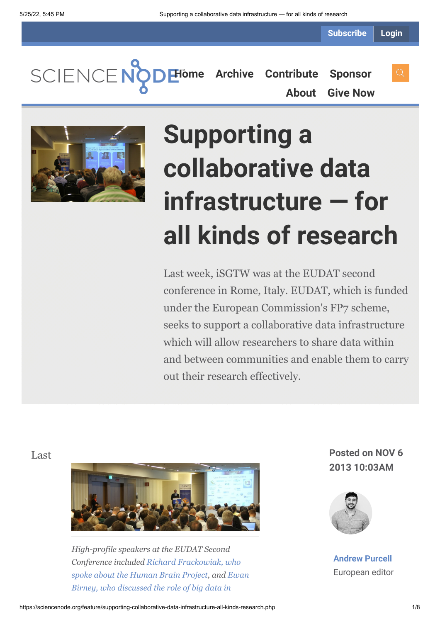**Subscribe Login**

**[Home](https://sciencenode.org/) [Archive](https://sciencenode.org/archive/index.php) [Contribute](https://sciencenode.org/contribute/index.php) [Sponsor](https://sciencenode.org/sponsor/index.php) [About](https://sciencenode.org/about/index.php) [Give Now](https://sciencenode.org/donate/index.php)**



# **Supporting a collaborative data infrastructure — for all kinds of research**

Last week, iSGTW was at the EUDAT second conference in Rome, Italy. EUDAT, which is funded under the European Commission's FP7 scheme, seeks to support a collaborative data infrastructure which will allow researchers to share data within and between communities and enable them to carry out their research effectively.



*High-profile speakers at the EUDAT Second [Conference included Richard Frackowiak, who](http://www.isgtw.org/feature/big-brains-big-data-and-big-opportunities) [spoke about the Human Brain Project, and Ewan](http://www.isgtw.org/feature/data-dna-transforming-biology-and-data-storage) Birney, who discussed the role of big data in*

Last **Posted on NOV 6 2013 10:03AM**



**[Andrew Purcell](https://sciencenode.org/author/andrew-purcell.php)** European editor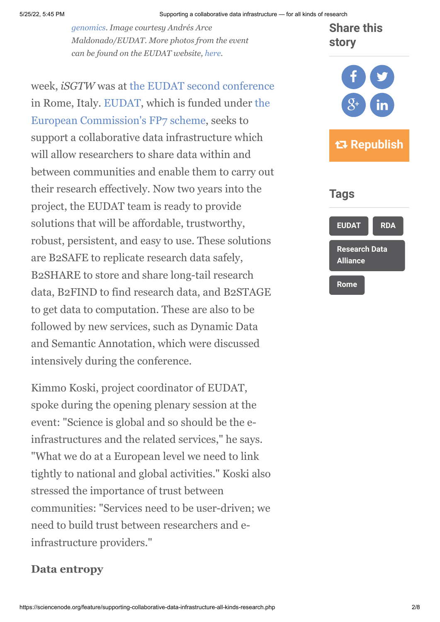*[genomics. Image courtesy Andrés Arce](http://www.isgtw.org/feature/data-dna-transforming-biology-and-data-storage) Maldonado/EUDAT. More photos from the event can be found on the EUDAT website, [here.](https://mmm.cern.ch/owa/redir.aspx?C=C96GkO8jxkuHXusm1-KKXP1cA0iWrdAIuRBxnH7-NPgB5xtiV0hf0BQujE4fQ-Udk9ajWi6PrRo.&URL=http%3a%2f%2fwww.eudat.eu%2fevents%2fphoto-gallery)*

week, *iSGTW* was at [the EUDAT second conference](http://www.eudat.eu/2nd-conference) [in Rome, Italy.](http://cordis.europa.eu/fp7/home_en.html) [EUDA](http://www.eudat.eu/)[T, which is funded under the](http://cordis.europa.eu/fp7/home_en.html) European Commission's FP7 scheme, seeks to support a collaborative data infrastructure which will allow researchers to share data within and between communities and enable them to carry out their research effectively. Now two years into the project, the EUDAT team is ready to provide solutions that will be affordable, trustworthy, robust, persistent, and easy to use. These solutions are B2SAFE to replicate research data safely, B2SHARE to store and share long-tail research data, B2FIND to find research data, and B2STAGE to get data to computation. These are also to be followed by new services, such as Dynamic Data and Semantic Annotation, which were discussed intensively during the conference.

Kimmo Koski, project coordinator of EUDAT, spoke during the opening plenary session at the event: "Science is global and so should be the einfrastructures and the related services," he says. "What we do at a European level we need to link tightly to national and global activities." Koski also stressed the importance of trust between communities: "Services need to be user-driven; we need to build trust between researchers and einfrastructure providers."

## **Data entropy**



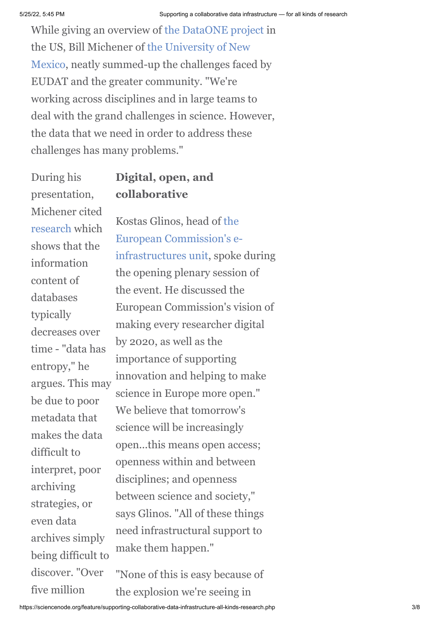While giving an overview of [the DataONE project](http://www.dataone.org/) in [the US, Bill Michener of the University of New](http://www.unm.edu/) Mexico, neatly summed-up the challenges faced by EUDAT and the greater community. "We're working across disciplines and in large teams to deal with the grand challenges in science. However, the data that we need in order to address these challenges has many problems."

During his presentation, Michener cited [research](http://www.vcrlter.virginia.edu/presentations/IEEE97/sld009.htm) which shows that the information content of databases typically decreases over time - "data has entropy," he argues. This may be due to poor metadata that makes the data difficult to interpret, poor archiving strategies, or even data archives simply being difficult to discover<sup>"</sup>Over five million

# **Digital, open, and collaborative**

Kostas Glinos, head of the European Commission's e[infrastructures unit, spoke](http://cordis.europa.eu/fp7/ict/e-infrastructure) during the opening plenary session of the event. He discussed the European Commission's vision of making every researcher digital by 2020, as well as the importance of supporting innovation and helping to make science in Europe more open." We believe that tomorrow's science will be increasingly open...this means open access; openness within and between disciplines; and openness between science and society," says Glinos. "All of these things need infrastructural support to make them happen."

"None of this is easy because of the explosion we're seeing in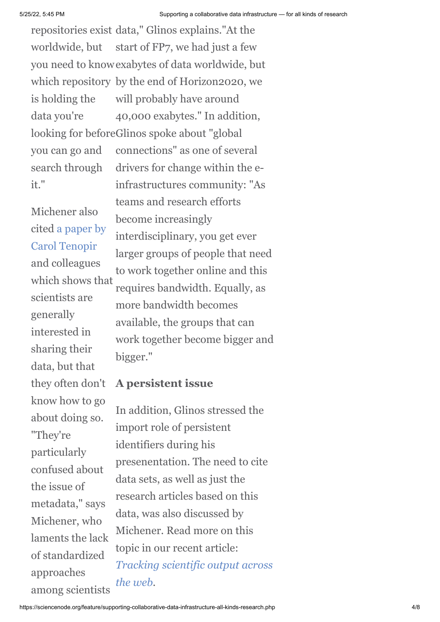repositories exist data," Glinos explains."At the start of FP7, we had just a few you need to know exabytes of data worldwide, but which repository by the end of Horizon2020, we will probably have around 40,000 exabytes." In addition, looking for beforeGlinos spoke about "global connections" as one of several drivers for change within the einfrastructures community: "As worldwide, but is holding the data you're you can go and search through it."

Michener also [cited a paper by](http://www.plosone.org/article/info:doi/10.1371/journal.pone.0021101) Carol Tenopir and colleagues which shows that scientists are generally interested in sharing their data, but that they often don't know how to go about doing so. "They're particularly confused about the issue of metadata," says Michener, who laments the lack of standardized approaches among scientists

teams and research efforts become increasingly interdisciplinary, you get ever larger groups of people that need to work together online and this requires bandwidth. Equally, as more bandwidth becomes available, the groups that can work together become bigger and bigger."

### **A persistent issue**

In addition, Glinos stressed the import role of persistent identifiers during his presenentation. The need to cite data sets, as well as just the research articles based on this data, was also discussed by Michener. Read more on this topic in our recent article: *[Tracking scientific output across](http://www.isgtw.org/feature/tracking-scientific-output-across-web) the web.*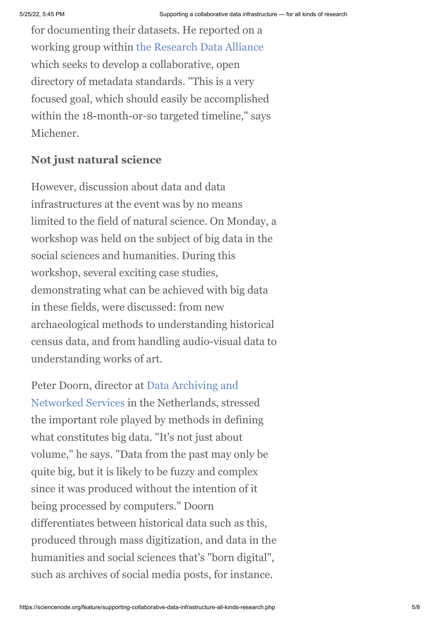for documenting their datasets. He reported on a working group within [the Research Data Alliance](https://rd-alliance.org/) which seeks to develop a collaborative, open directory of metadata standards. "This is a very focused goal, which should easily be accomplished within the 18-month-or-so targeted timeline," says Michener.

# **Not just natural science**

However, discussion about data and data infrastructures at the event was by no means limited to the field of natural science. On Monday, a workshop was held on the subject of big data in the social sciences and humanities. During this workshop, several exciting case studies, demonstrating what can be achieved with big data in these fields, were discussed: from new archaeological methods to understanding historical census data, and from handling audio-visual data to understanding works of art.

[Peter Doorn, director at Data Archiving and](http://www.dans.knaw.nl/en) Networked Services in the Netherlands, stressed the important role played by methods in defining what constitutes big data. "It's not just about volume," he says. "Data from the past may only be quite big, but it is likely to be fuzzy and complex since it was produced without the intention of it being processed by computers." Doorn differentiates between historical data such as this, produced through mass digitization, and data in the humanities and social sciences that's "born digital", such as archives of social media posts, for instance.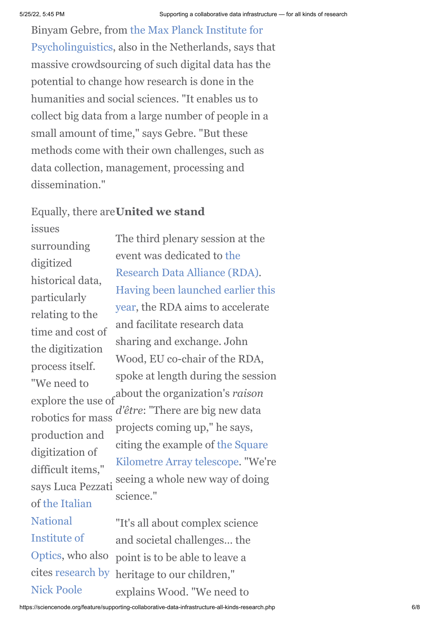Binyam Gebre, from the Max Planck Institute for [Psycholinguistics, also in the Netherlands, says th](http://www.mpi.nl/)at massive crowdsourcing of such digital data has the potential to change how research is done in the humanities and social sciences. "It enables us to collect big data from a large number of people in a small amount of time," says Gebre. "But these methods come with their own challenges, such as data collection, management, processing and dissemination<sup>"</sup>

# Equally, there are **United we stand**

issues surrounding digitized historical data, particularly relating to the time and cost of the digitization process itself. "We need to explore the use of robotics for mass production and digitization of difficult items," says Luca Pezzati [of the Italian](http://www.ino.it/en/) National Institute of Optics, who also [cites research by](http://ec.europa.eu/information_society/activities/digital_libraries/doc/refgroup/annexes/digiti_report.pdf) Nick Poole

The third plenary session at the event was dedicated to the [Research Data Alliance \(RDA\)](https://rd-alliance.org/). [Having been launched earlier this](http://www.isgtw.org/announcement/open-access-research-data-without-barriers-research-data-alliance-launch-and-first-plen) year, the RDA aims to accelerate and facilitate research data sharing and exchange. John Wood, EU co-chair of the RDA, spoke at length during the session about the organization's *raison d'être*: "There are big new data projects coming up," he says, [citing the example of the Square](http://www.skatelescope.org/) Kilometre Array telescope. "We're seeing a whole new way of doing science."

"It's all about complex science and societal challenges… the point is to be able to leave a heritage to our children," explains Wood. "We need to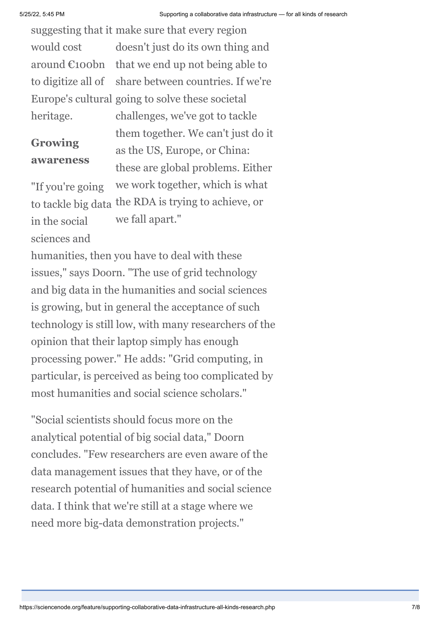suggesting that it make sure that every region doesn't just do its own thing and that we end up not being able to share between countries. If we're Europe's cultural going to solve these societal challenges, we've got to tackle would cost around €100bn to digitize all of heritage.

# **Growing awareness**

them together. We can't just do it as the US, Europe, or China: these are global problems. Either we work together, which is what to tackle big data the RDA is trying to achieve, or we fall apart."

sciences and

in the social

"If you're going

humanities, then you have to deal with these issues," says Doorn. "The use of grid technology and big data in the humanities and social sciences is growing, but in general the acceptance of such technology is still low, with many researchers of the opinion that their laptop simply has enough processing power." He adds: "Grid computing, in particular, is perceived as being too complicated by most humanities and social science scholars."

"Social scientists should focus more on the analytical potential of big social data," Doorn concludes. "Few researchers are even aware of the data management issues that they have, or of the research potential of humanities and social science data. I think that we're still at a stage where we need more big-data demonstration projects."